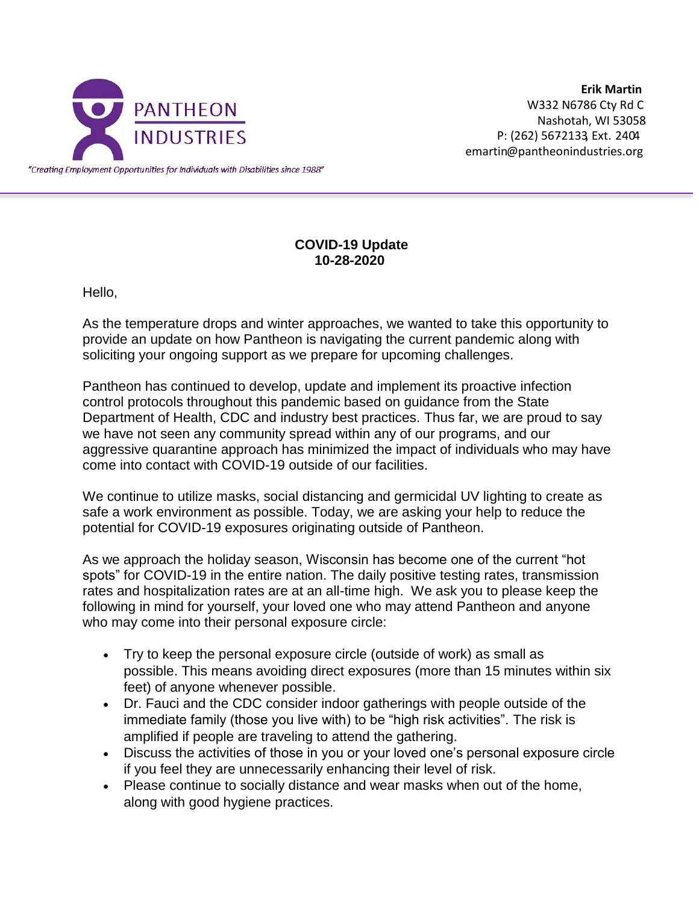

**Erik Martin** W332 N6786 Cty Rd C Nashotah, WI 53058 P: (262) 5672133 Ext. 2404 emartin@pantheonindustries.org

## **COVID-19 Update 10-28-2020**

Hello,

As the temperature drops and winter approaches, we wanted to take this opportunity to provide an update on how Pantheon is navigating the current pandemic along with soliciting your ongoing support as we prepare for upcoming challenges.

Pantheon has continued to develop, update and implement its proactive infection control protocols throughout this pandemic based on guidance from the State Department of Health, CDC and industry best practices. Thus far, we are proud to say we have not seen any community spread within any of our programs, and our aggressive quarantine approach has minimized the impact of individuals who may have come into contact with COVID-19 outside of our facilities.

We continue to utilize masks, social distancing and germicidal UV lighting to create as safe a work environment as possible. Today, we are asking your help to reduce the potential for COVID-19 exposures originating outside of Pantheon.

As we approach the holiday season, Wisconsin has become one of the current "hot spots" for COVID-19 in the entire nation. The daily positive testing rates, transmission rates and hospitalization rates are at an all-time high. We ask you to please keep the following in mind for yourself, your loved one who may attend Pantheon and anyone who may come into their personal exposure circle:

- Try to keep the personal exposure circle (outside of work) as small as possible. This means avoiding direct exposures (more than 15 minutes within six feet) of anyone whenever possible.
- Dr. Fauci and the CDC consider indoor gatherings with people outside of the immediate family (those you live with) to be "high risk activities". The risk is amplified if people are traveling to attend the gathering.
- Discuss the activities of those in you or your loved one's personal exposure circle if you feel they are unnecessarily enhancing their level of risk.
- Please continue to socially distance and wear masks when out of the home, along with good hygiene practices.